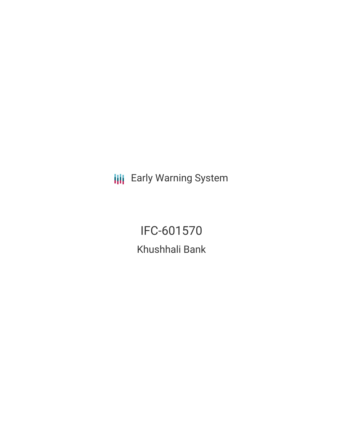**III** Early Warning System

IFC-601570 Khushhali Bank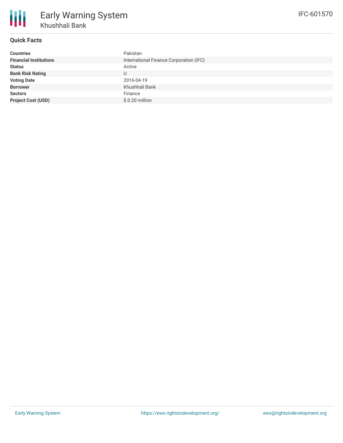

# **Quick Facts**

| <b>Countries</b>              | Pakistan                                |
|-------------------------------|-----------------------------------------|
| <b>Financial Institutions</b> | International Finance Corporation (IFC) |
| <b>Status</b>                 | Active                                  |
| <b>Bank Risk Rating</b>       |                                         |
| <b>Voting Date</b>            | 2016-04-19                              |
| <b>Borrower</b>               | Khushhali Bank                          |
| <b>Sectors</b>                | Finance                                 |
| <b>Project Cost (USD)</b>     | $$0.20$ million                         |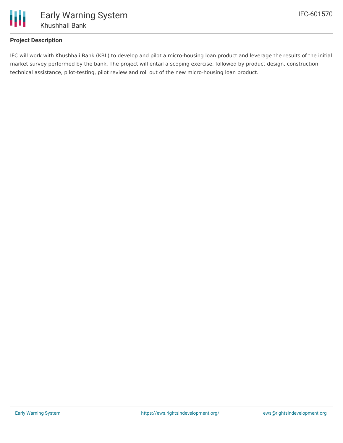

# **Project Description**

IFC will work with Khushhali Bank (KBL) to develop and pilot a micro-housing loan product and leverage the results of the initial market survey performed by the bank. The project will entail a scoping exercise, followed by product design, construction technical assistance, pilot-testing, pilot review and roll out of the new micro-housing loan product.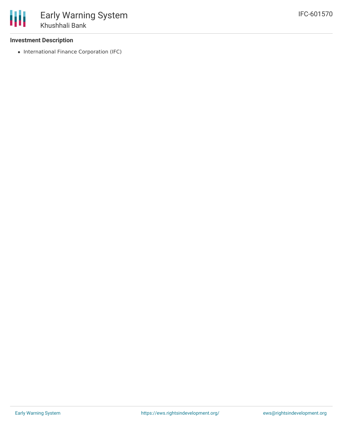## **Investment Description**

• International Finance Corporation (IFC)